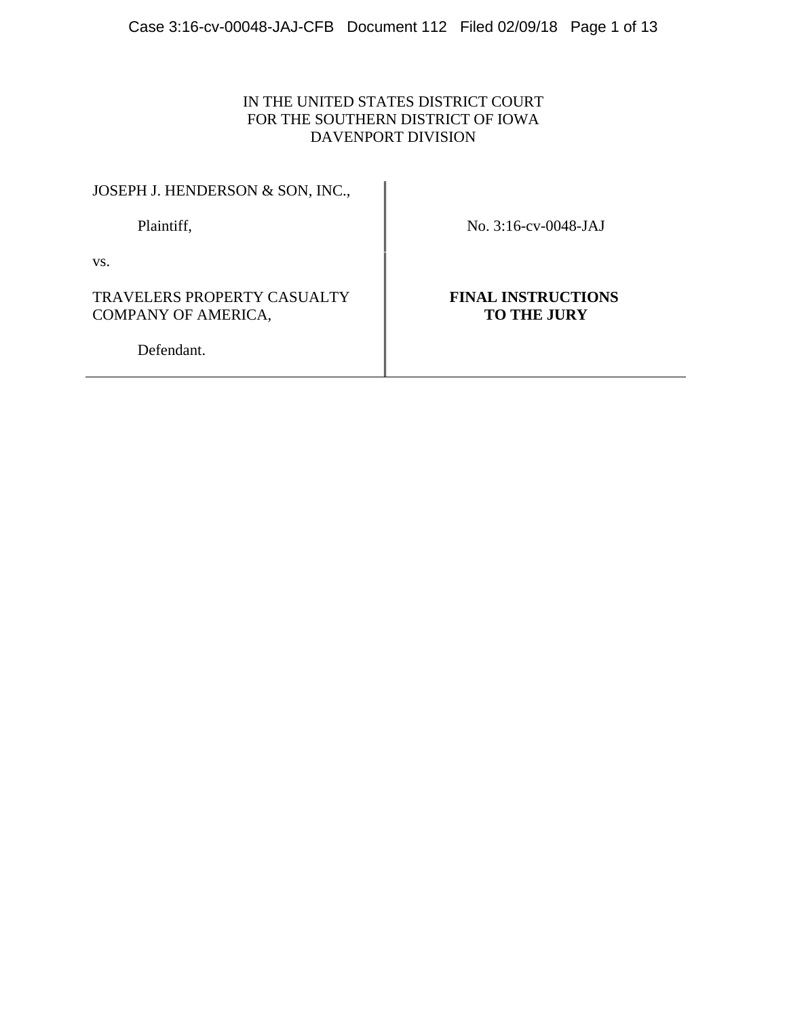# IN THE UNITED STATES DISTRICT COURT FOR THE SOUTHERN DISTRICT OF IOWA DAVENPORT DIVISION

JOSEPH J. HENDERSON & SON, INC.,

Plaintiff, No. 3:16-cv-0048-JAJ

vs.

TRAVELERS PROPERTY CASUALTY COMPANY OF AMERICA,

**FINAL INSTRUCTIONS TO THE JURY**

Defendant.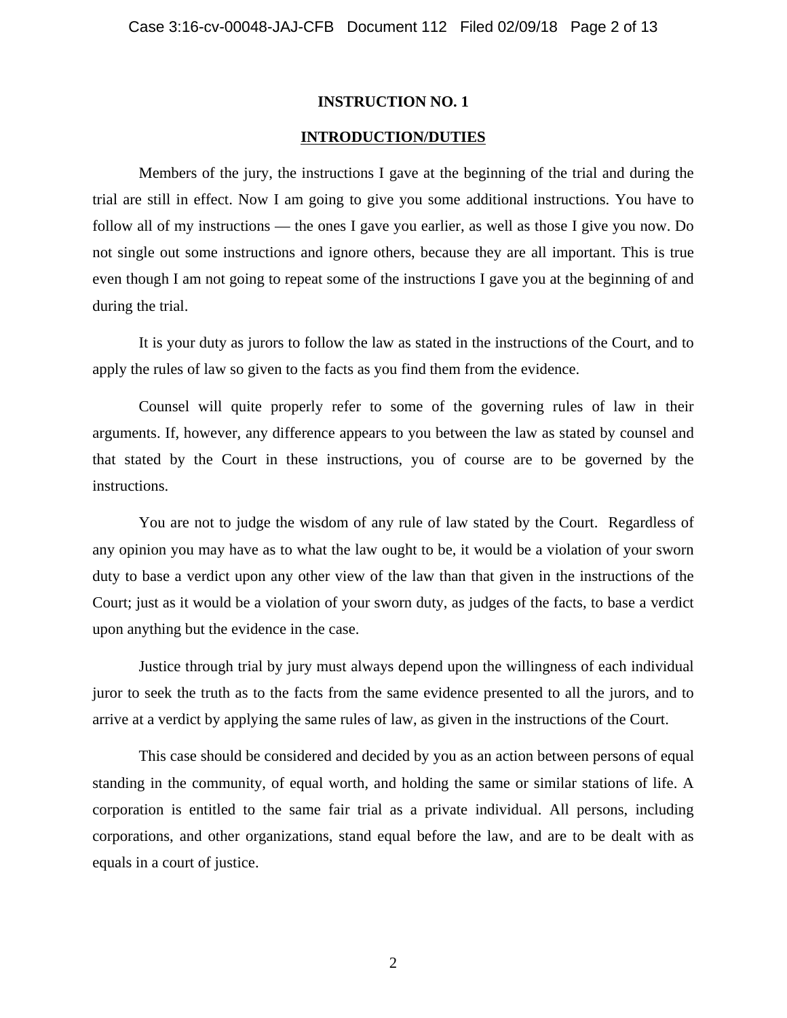#### **INTRODUCTION/DUTIES**

Members of the jury, the instructions I gave at the beginning of the trial and during the trial are still in effect. Now I am going to give you some additional instructions. You have to follow all of my instructions — the ones I gave you earlier, as well as those I give you now. Do not single out some instructions and ignore others, because they are all important. This is true even though I am not going to repeat some of the instructions I gave you at the beginning of and during the trial.

It is your duty as jurors to follow the law as stated in the instructions of the Court, and to apply the rules of law so given to the facts as you find them from the evidence.

Counsel will quite properly refer to some of the governing rules of law in their arguments. If, however, any difference appears to you between the law as stated by counsel and that stated by the Court in these instructions, you of course are to be governed by the instructions.

You are not to judge the wisdom of any rule of law stated by the Court. Regardless of any opinion you may have as to what the law ought to be, it would be a violation of your sworn duty to base a verdict upon any other view of the law than that given in the instructions of the Court; just as it would be a violation of your sworn duty, as judges of the facts, to base a verdict upon anything but the evidence in the case.

Justice through trial by jury must always depend upon the willingness of each individual juror to seek the truth as to the facts from the same evidence presented to all the jurors, and to arrive at a verdict by applying the same rules of law, as given in the instructions of the Court.

This case should be considered and decided by you as an action between persons of equal standing in the community, of equal worth, and holding the same or similar stations of life. A corporation is entitled to the same fair trial as a private individual. All persons, including corporations, and other organizations, stand equal before the law, and are to be dealt with as equals in a court of justice.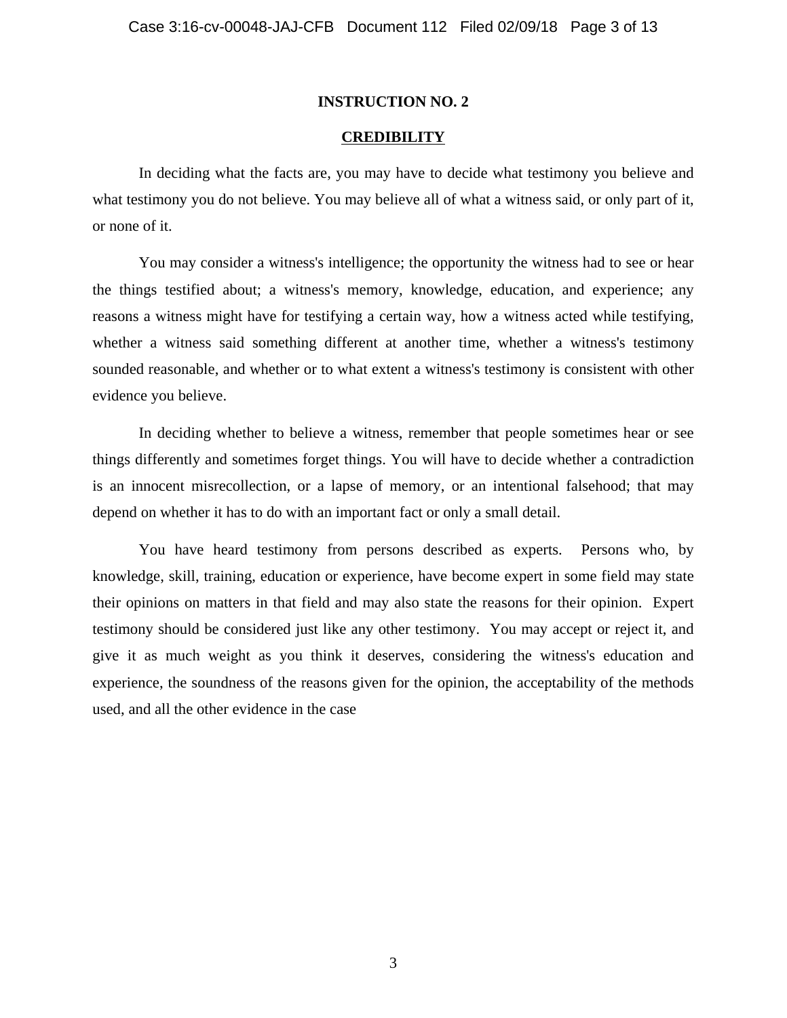#### **CREDIBILITY**

In deciding what the facts are, you may have to decide what testimony you believe and what testimony you do not believe. You may believe all of what a witness said, or only part of it, or none of it.

You may consider a witness's intelligence; the opportunity the witness had to see or hear the things testified about; a witness's memory, knowledge, education, and experience; any reasons a witness might have for testifying a certain way, how a witness acted while testifying, whether a witness said something different at another time, whether a witness's testimony sounded reasonable, and whether or to what extent a witness's testimony is consistent with other evidence you believe.

In deciding whether to believe a witness, remember that people sometimes hear or see things differently and sometimes forget things. You will have to decide whether a contradiction is an innocent misrecollection, or a lapse of memory, or an intentional falsehood; that may depend on whether it has to do with an important fact or only a small detail.

You have heard testimony from persons described as experts. Persons who, by knowledge, skill, training, education or experience, have become expert in some field may state their opinions on matters in that field and may also state the reasons for their opinion. Expert testimony should be considered just like any other testimony. You may accept or reject it, and give it as much weight as you think it deserves, considering the witness's education and experience, the soundness of the reasons given for the opinion, the acceptability of the methods used, and all the other evidence in the case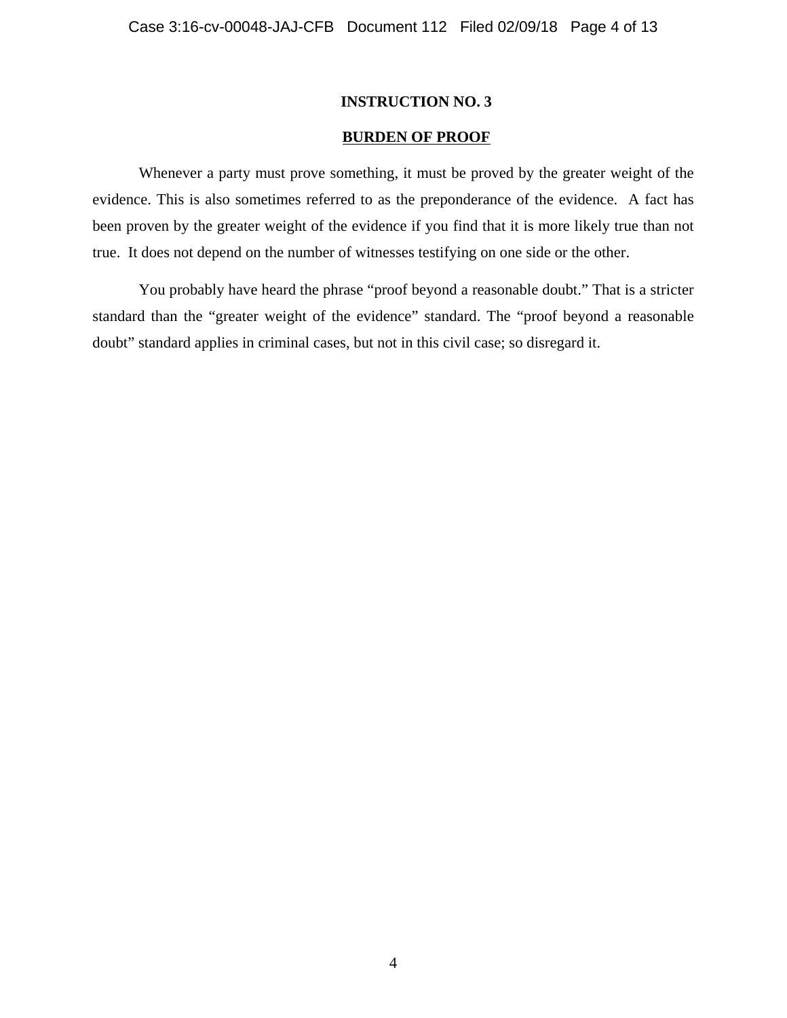## **BURDEN OF PROOF**

Whenever a party must prove something, it must be proved by the greater weight of the evidence. This is also sometimes referred to as the preponderance of the evidence. A fact has been proven by the greater weight of the evidence if you find that it is more likely true than not true. It does not depend on the number of witnesses testifying on one side or the other.

You probably have heard the phrase "proof beyond a reasonable doubt." That is a stricter standard than the "greater weight of the evidence" standard. The "proof beyond a reasonable doubt" standard applies in criminal cases, but not in this civil case; so disregard it.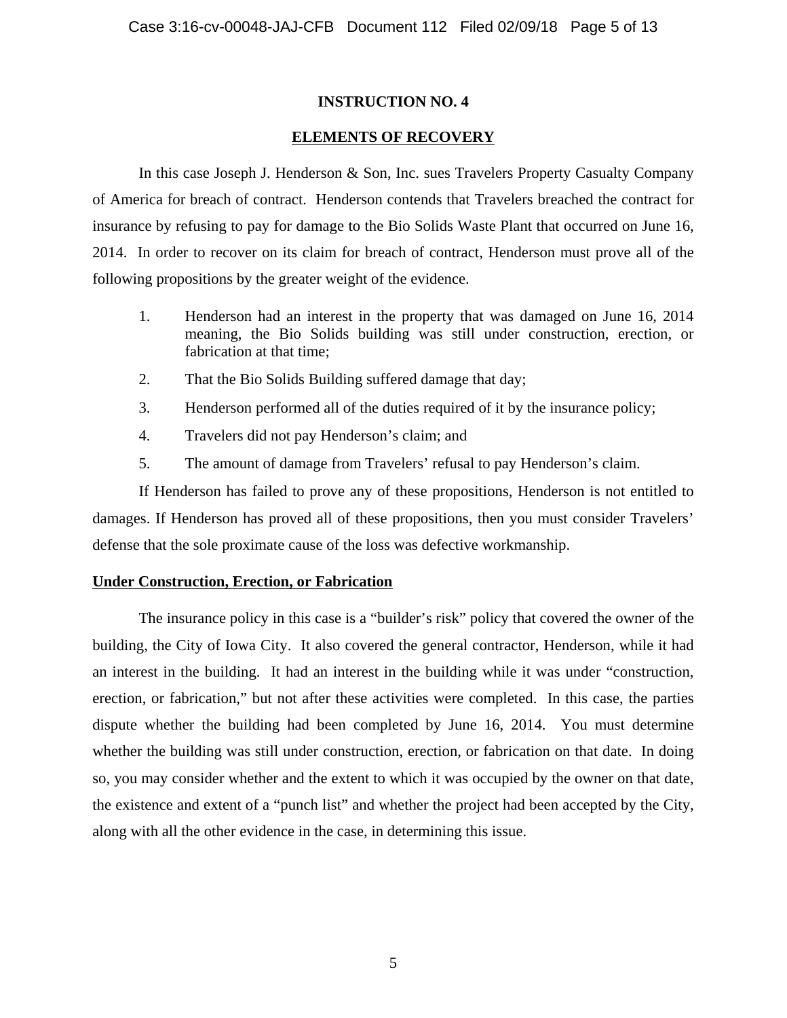## **ELEMENTS OF RECOVERY**

In this case Joseph J. Henderson & Son, Inc. sues Travelers Property Casualty Company of America for breach of contract. Henderson contends that Travelers breached the contract for insurance by refusing to pay for damage to the Bio Solids Waste Plant that occurred on June 16, 2014. In order to recover on its claim for breach of contract, Henderson must prove all of the following propositions by the greater weight of the evidence.

- 1. Henderson had an interest in the property that was damaged on June 16, 2014 meaning, the Bio Solids building was still under construction, erection, or fabrication at that time;
- 2. That the Bio Solids Building suffered damage that day;
- 3. Henderson performed all of the duties required of it by the insurance policy;
- 4. Travelers did not pay Henderson's claim; and
- 5. The amount of damage from Travelers' refusal to pay Henderson's claim.

If Henderson has failed to prove any of these propositions, Henderson is not entitled to damages. If Henderson has proved all of these propositions, then you must consider Travelers' defense that the sole proximate cause of the loss was defective workmanship.

## **Under Construction, Erection, or Fabrication**

The insurance policy in this case is a "builder's risk" policy that covered the owner of the building, the City of Iowa City. It also covered the general contractor, Henderson, while it had an interest in the building. It had an interest in the building while it was under "construction, erection, or fabrication," but not after these activities were completed. In this case, the parties dispute whether the building had been completed by June 16, 2014. You must determine whether the building was still under construction, erection, or fabrication on that date. In doing so, you may consider whether and the extent to which it was occupied by the owner on that date, the existence and extent of a "punch list" and whether the project had been accepted by the City, along with all the other evidence in the case, in determining this issue.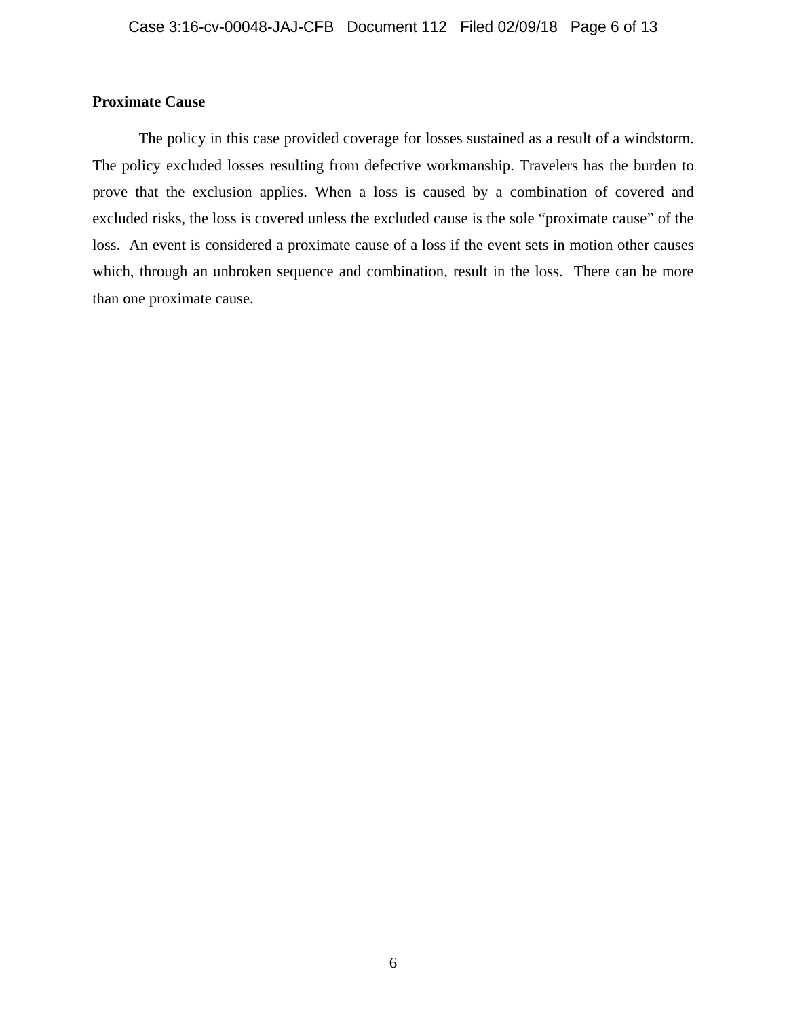# **Proximate Cause**

The policy in this case provided coverage for losses sustained as a result of a windstorm. The policy excluded losses resulting from defective workmanship. Travelers has the burden to prove that the exclusion applies. When a loss is caused by a combination of covered and excluded risks, the loss is covered unless the excluded cause is the sole "proximate cause" of the loss. An event is considered a proximate cause of a loss if the event sets in motion other causes which, through an unbroken sequence and combination, result in the loss. There can be more than one proximate cause.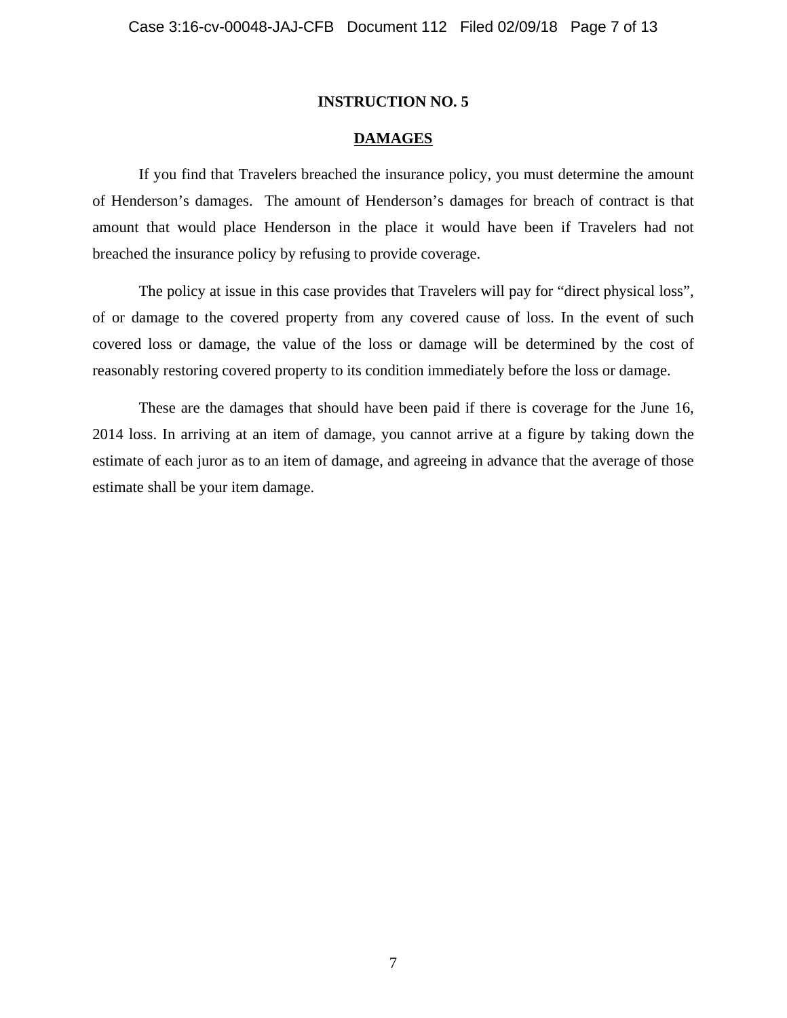#### **DAMAGES**

If you find that Travelers breached the insurance policy, you must determine the amount of Henderson's damages. The amount of Henderson's damages for breach of contract is that amount that would place Henderson in the place it would have been if Travelers had not breached the insurance policy by refusing to provide coverage.

The policy at issue in this case provides that Travelers will pay for "direct physical loss", of or damage to the covered property from any covered cause of loss. In the event of such covered loss or damage, the value of the loss or damage will be determined by the cost of reasonably restoring covered property to its condition immediately before the loss or damage.

These are the damages that should have been paid if there is coverage for the June 16, 2014 loss. In arriving at an item of damage, you cannot arrive at a figure by taking down the estimate of each juror as to an item of damage, and agreeing in advance that the average of those estimate shall be your item damage.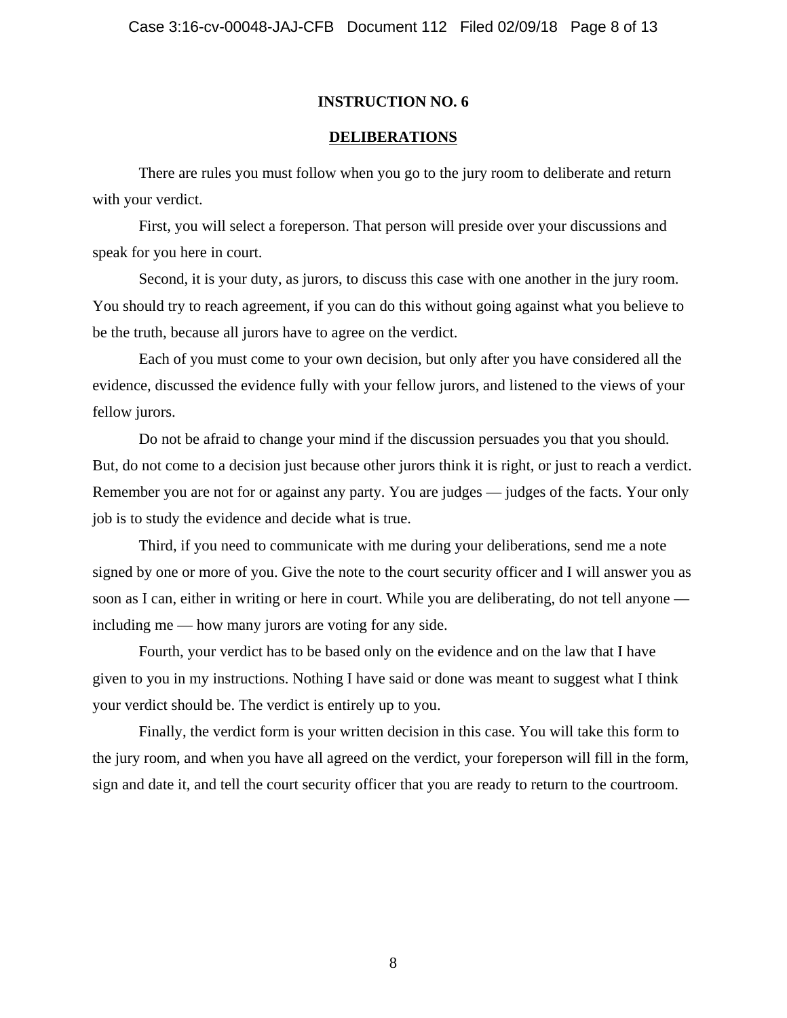### **DELIBERATIONS**

There are rules you must follow when you go to the jury room to deliberate and return with your verdict.

First, you will select a foreperson. That person will preside over your discussions and speak for you here in court.

Second, it is your duty, as jurors, to discuss this case with one another in the jury room. You should try to reach agreement, if you can do this without going against what you believe to be the truth, because all jurors have to agree on the verdict.

Each of you must come to your own decision, but only after you have considered all the evidence, discussed the evidence fully with your fellow jurors, and listened to the views of your fellow jurors.

Do not be afraid to change your mind if the discussion persuades you that you should. But, do not come to a decision just because other jurors think it is right, or just to reach a verdict. Remember you are not for or against any party. You are judges — judges of the facts. Your only job is to study the evidence and decide what is true.

Third, if you need to communicate with me during your deliberations, send me a note signed by one or more of you. Give the note to the court security officer and I will answer you as soon as I can, either in writing or here in court. While you are deliberating, do not tell anyone including me — how many jurors are voting for any side.

Fourth, your verdict has to be based only on the evidence and on the law that I have given to you in my instructions. Nothing I have said or done was meant to suggest what I think your verdict should be. The verdict is entirely up to you.

Finally, the verdict form is your written decision in this case. You will take this form to the jury room, and when you have all agreed on the verdict, your foreperson will fill in the form, sign and date it, and tell the court security officer that you are ready to return to the courtroom.

8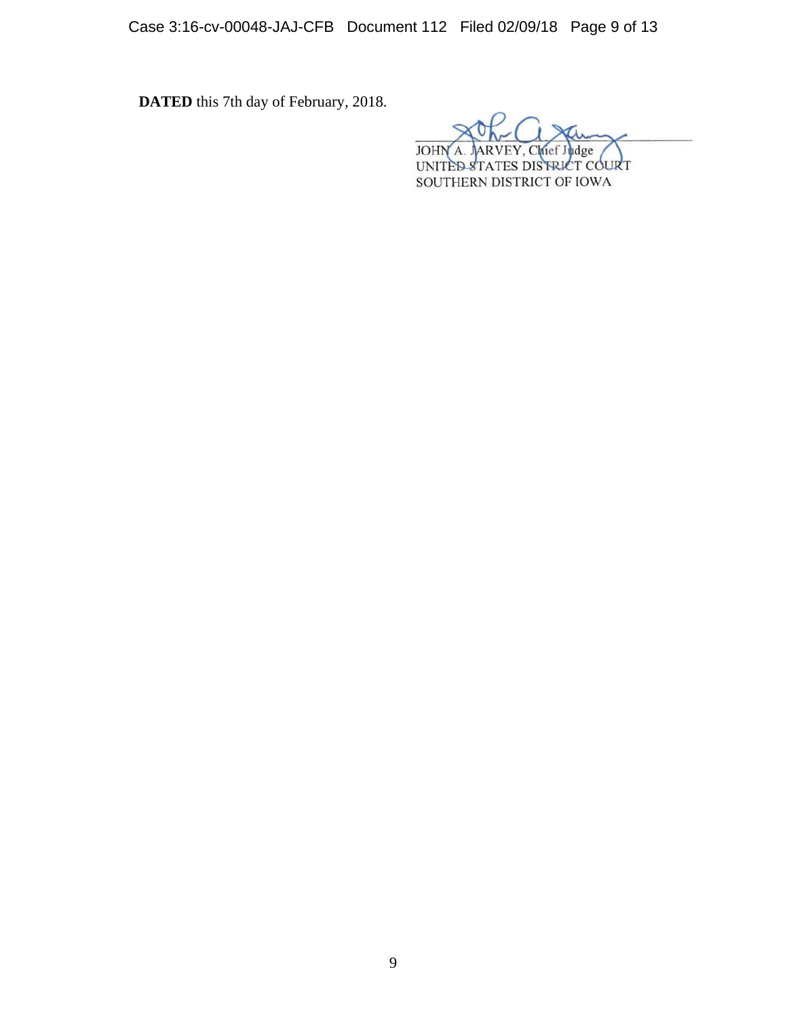Case 3:16-cv-00048-JAJ-CFB Document 112 Filed 02/09/18 Page 9 of 13

**DATED** this 7th day of February, 2018.

**JOHN** dge hief.  $\Lambda$ 

UNITED STATES DISTRICT COURT SOUTHERN DISTRICT OF IOWA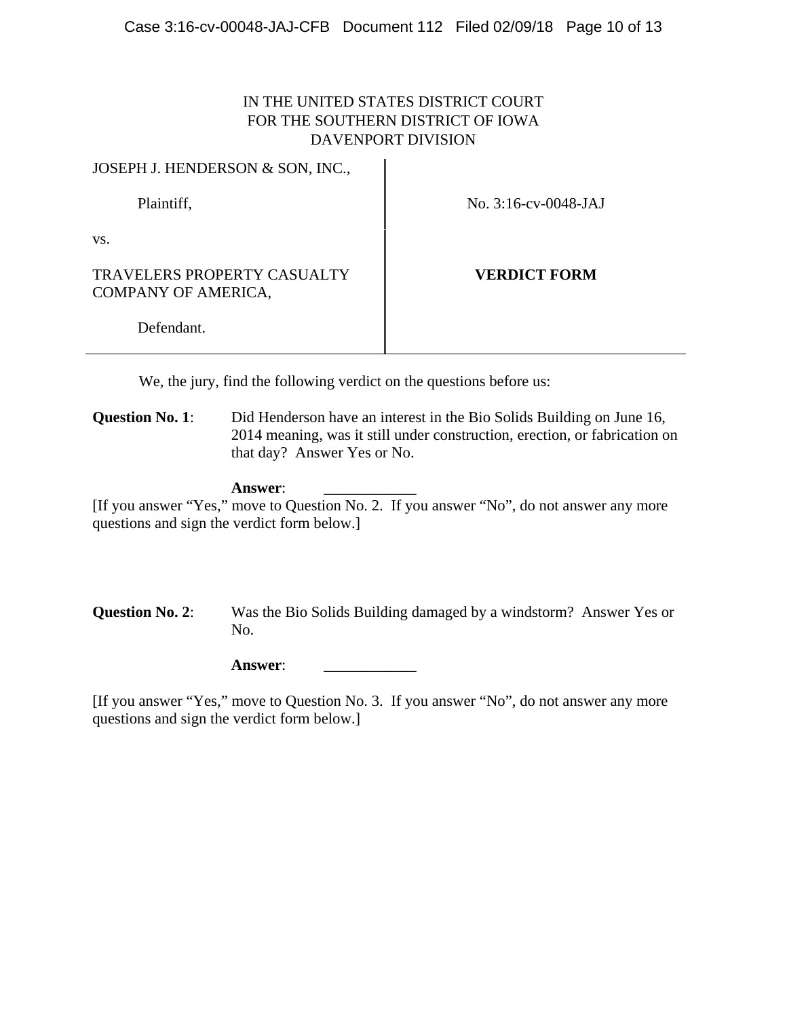# IN THE UNITED STATES DISTRICT COURT FOR THE SOUTHERN DISTRICT OF IOWA DAVENPORT DIVISION

JOSEPH J. HENDERSON & SON, INC.,

Plaintiff, No. 3:16-cv-0048-JAJ

vs.

TRAVELERS PROPERTY CASUALTY COMPANY OF AMERICA,

**VERDICT FORM**

Defendant.

We, the jury, find the following verdict on the questions before us:

**Question No. 1**: Did Henderson have an interest in the Bio Solids Building on June 16, 2014 meaning, was it still under construction, erection, or fabrication on that day? Answer Yes or No.

### Answer:

[If you answer "Yes," move to Question No. 2. If you answer "No", do not answer any more questions and sign the verdict form below.]

**Question No. 2**: Was the Bio Solids Building damaged by a windstorm? Answer Yes or No.

**Answer**: \_\_\_\_\_\_\_\_\_\_\_\_

[If you answer "Yes," move to Question No. 3. If you answer "No", do not answer any more questions and sign the verdict form below.]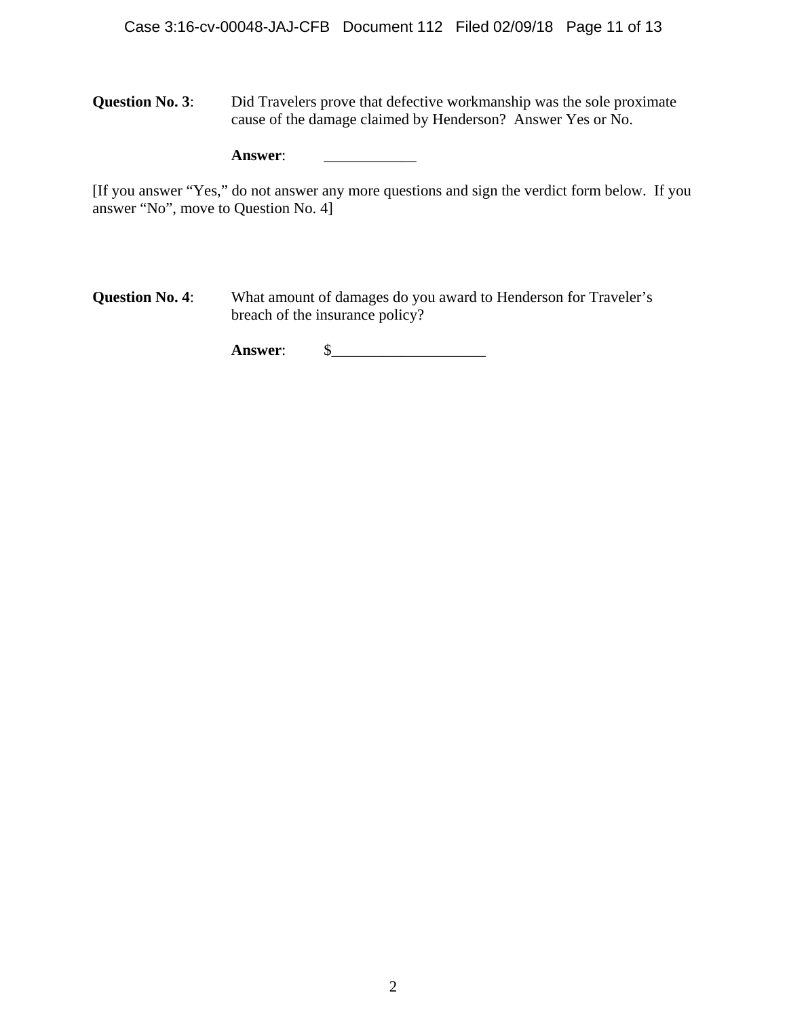**Question No. 3:** Did Travelers prove that defective workmanship was the sole proximate cause of the damage claimed by Henderson? Answer Yes or No.

| <b>Answer:</b> |
|----------------|
|                |

[If you answer "Yes," do not answer any more questions and sign the verdict form below. If you answer "No", move to Question No. 4]

**Question No. 4:** What amount of damages do you award to Henderson for Traveler's breach of the insurance policy?

**Answer**: \$\_\_\_\_\_\_\_\_\_\_\_\_\_\_\_\_\_\_\_\_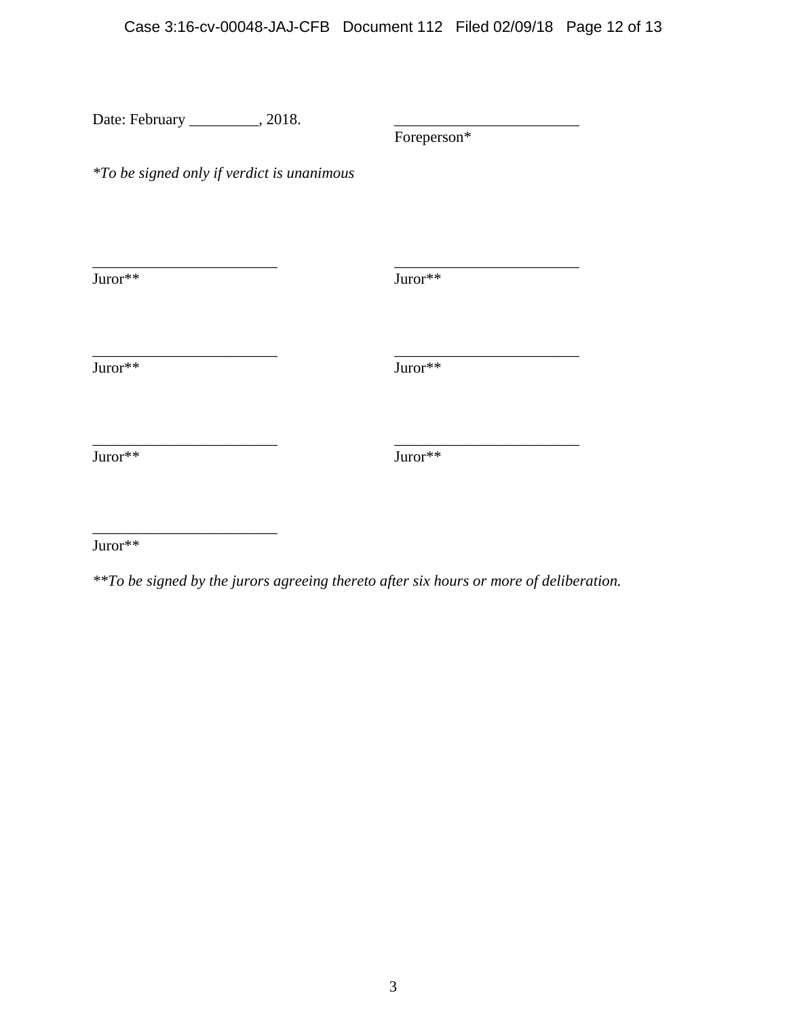| Date: February __________, 2018.                  |             |  |
|---------------------------------------------------|-------------|--|
|                                                   | Foreperson* |  |
| <i>*To be signed only if verdict is unanimous</i> |             |  |
|                                                   |             |  |
| $\text{Juror}{^{**}}$                             | Juror**     |  |
| Juror**                                           | Juror**     |  |
| Juror**                                           | Juror**     |  |
|                                                   |             |  |

Juror\*\*

\_\_\_\_\_\_\_\_\_\_\_\_\_\_\_\_\_\_\_\_\_\_\_\_

*\*\*To be signed by the jurors agreeing thereto after six hours or more of deliberation.*